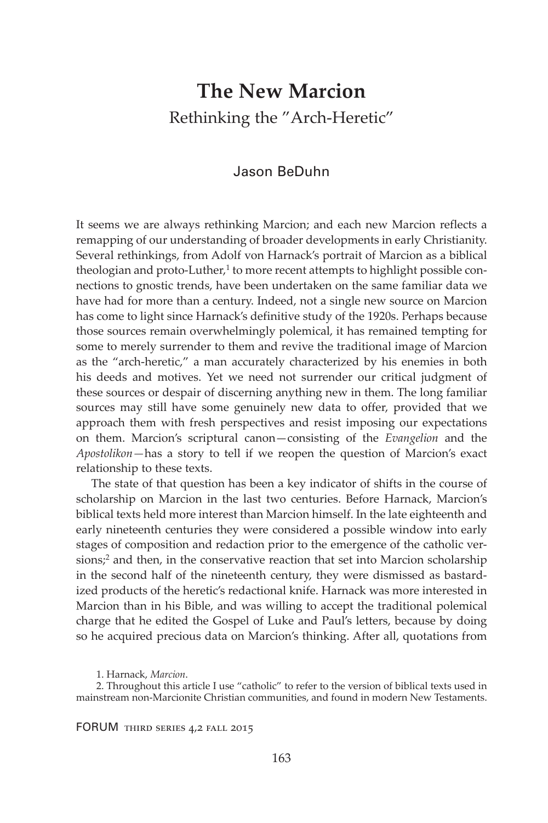# **The New Marcion** Rethinking the "Arch-Heretic"

# Jason BeDuhn

It seems we are always rethinking Marcion; and each new Marcion reflects a remapping of our understanding of broader developments in early Christianity. Several rethinkings, from Adolf von Harnack's portrait of Marcion as a biblical theologian and proto-Luther, $^1$  to more recent attempts to highlight possible connections to gnostic trends, have been undertaken on the same familiar data we have had for more than a century. Indeed, not a single new source on Marcion has come to light since Harnack's definitive study of the 1920s. Perhaps because those sources remain overwhelmingly polemical, it has remained tempting for some to merely surrender to them and revive the traditional image of Marcion as the "arch-heretic," a man accurately characterized by his enemies in both his deeds and motives. Yet we need not surrender our critical judgment of these sources or despair of discerning anything new in them. The long familiar sources may still have some genuinely new data to offer, provided that we approach them with fresh perspectives and resist imposing our expectations on them. Marcion's scriptural canon—consisting of the *Evangelion* and the *Apostolikon—*has a story to tell if we reopen the question of Marcion's exact relationship to these texts.

The state of that question has been a key indicator of shifts in the course of scholarship on Marcion in the last two centuries. Before Harnack, Marcion's biblical texts held more interest than Marcion himself. In the late eighteenth and early nineteenth centuries they were considered a possible window into early stages of composition and redaction prior to the emergence of the catholic versions;<sup>2</sup> and then, in the conservative reaction that set into Marcion scholarship in the second half of the nineteenth century, they were dismissed as bastardized products of the heretic's redactional knife. Harnack was more interested in Marcion than in his Bible, and was willing to accept the traditional polemical charge that he edited the Gospel of Luke and Paul's letters, because by doing so he acquired precious data on Marcion's thinking. After all, quotations from

1. Harnack, *Marcion*.

2. Throughout this article I use "catholic" to refer to the version of biblical texts used in mainstream non-Marcionite Christian communities, and found in modern New Testaments.

FORUM third series 4,2 fall 2015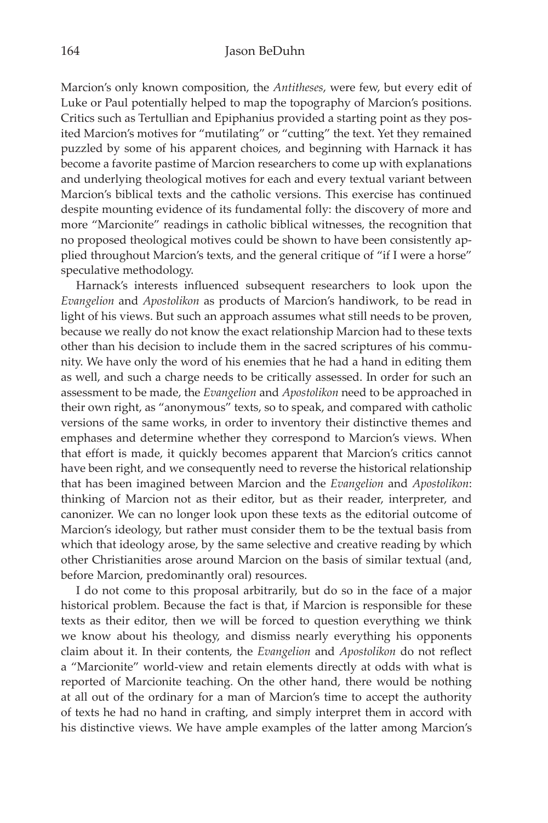Marcion's only known composition, the *Antitheses*, were few, but every edit of Luke or Paul potentially helped to map the topography of Marcion's positions. Critics such as Tertullian and Epiphanius provided a starting point as they posited Marcion's motives for "mutilating" or "cutting" the text. Yet they remained puzzled by some of his apparent choices, and beginning with Harnack it has become a favorite pastime of Marcion researchers to come up with explanations and underlying theological motives for each and every textual variant between Marcion's biblical texts and the catholic versions. This exercise has continued despite mounting evidence of its fundamental folly: the discovery of more and more "Marcionite" readings in catholic biblical witnesses, the recognition that no proposed theological motives could be shown to have been consistently applied throughout Marcion's texts, and the general critique of "if I were a horse" speculative methodology.

Harnack's interests influenced subsequent researchers to look upon the *Evangelion* and *Apostolikon* as products of Marcion's handiwork, to be read in light of his views. But such an approach assumes what still needs to be proven, because we really do not know the exact relationship Marcion had to these texts other than his decision to include them in the sacred scriptures of his community. We have only the word of his enemies that he had a hand in editing them as well, and such a charge needs to be critically assessed. In order for such an assessment to be made, the *Evangelion* and *Apostolikon* need to be approached in their own right, as "anonymous" texts, so to speak, and compared with catholic versions of the same works, in order to inventory their distinctive themes and emphases and determine whether they correspond to Marcion's views. When that effort is made, it quickly becomes apparent that Marcion's critics cannot have been right, and we consequently need to reverse the historical relationship that has been imagined between Marcion and the *Evangelion* and *Apostolikon*: thinking of Marcion not as their editor, but as their reader, interpreter, and canonizer. We can no longer look upon these texts as the editorial outcome of Marcion's ideology, but rather must consider them to be the textual basis from which that ideology arose, by the same selective and creative reading by which other Christianities arose around Marcion on the basis of similar textual (and, before Marcion, predominantly oral) resources.

I do not come to this proposal arbitrarily, but do so in the face of a major historical problem. Because the fact is that, if Marcion is responsible for these texts as their editor, then we will be forced to question everything we think we know about his theology, and dismiss nearly everything his opponents claim about it. In their contents, the *Evangelion* and *Apostolikon* do not reflect a "Marcionite" world-view and retain elements directly at odds with what is reported of Marcionite teaching. On the other hand, there would be nothing at all out of the ordinary for a man of Marcion's time to accept the authority of texts he had no hand in crafting, and simply interpret them in accord with his distinctive views. We have ample examples of the latter among Marcion's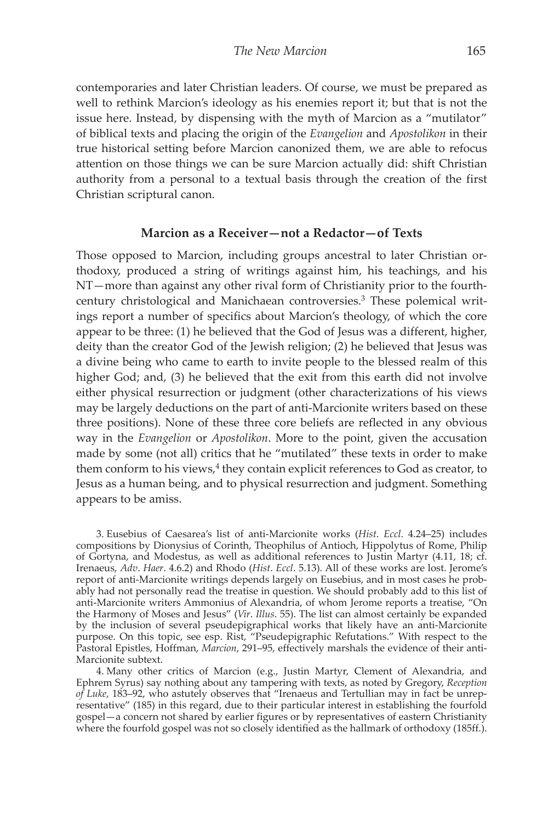contemporaries and later Christian leaders. Of course, we must be prepared as well to rethink Marcion's ideology as his enemies report it; but that is not the issue here. Instead, by dispensing with the myth of Marcion as a "mutilator" of biblical texts and placing the origin of the *Evangelion* and *Apostolikon* in their true historical setting before Marcion canonized them, we are able to refocus attention on those things we can be sure Marcion actually did: shift Christian authority from a personal to a textual basis through the creation of the first Christian scriptural canon.

#### **Marcion as a Receiver—not a Redactor—of Texts**

Those opposed to Marcion, including groups ancestral to later Christian orthodoxy, produced a string of writings against him, his teachings, and his NT—more than against any other rival form of Christianity prior to the fourthcentury christological and Manichaean controversies.3 These polemical writings report a number of specifics about Marcion's theology, of which the core appear to be three: (1) he believed that the God of Jesus was a different, higher, deity than the creator God of the Jewish religion; (2) he believed that Jesus was a divine being who came to earth to invite people to the blessed realm of this higher God; and, (3) he believed that the exit from this earth did not involve either physical resurrection or judgment (other characterizations of his views may be largely deductions on the part of anti-Marcionite writers based on these three positions). None of these three core beliefs are reflected in any obvious way in the *Evangelion* or *Apostolikon*. More to the point, given the accusation made by some (not all) critics that he "mutilated" these texts in order to make them conform to his views,<sup>4</sup> they contain explicit references to God as creator, to Jesus as a human being, and to physical resurrection and judgment. Something appears to be amiss.

3. Eusebius of Caesarea's list of anti-Marcionite works (*Hist*. *Eccl*. 4.24–25) includes compositions by Dionysius of Corinth, Theophilus of Antioch, Hippolytus of Rome, Philip of Gortyna, and Modestus, as well as additional references to Justin Martyr (4.11, 18; cf. Irenaeus, *Adv*. *Haer*. 4.6.2) and Rhodo (*Hist*. *Eccl*. 5.13). All of these works are lost. Jerome's report of anti-Marcionite writings depends largely on Eusebius, and in most cases he probably had not personally read the treatise in question. We should probably add to this list of anti-Marcionite writers Ammonius of Alexandria, of whom Jerome reports a treatise, "On the Harmony of Moses and Jesus" (*Vir*. *Illus*. 55). The list can almost certainly be expanded by the inclusion of several pseudepigraphical works that likely have an anti-Marcionite purpose. On this topic, see esp. Rist, "Pseudepigraphic Refutations." With respect to the Pastoral Epistles, Hoffman, *Marcion*, 291–95, effectively marshals the evidence of their anti-Marcionite subtext.

4. Many other critics of Marcion (e.g., Justin Martyr, Clement of Alexandria, and Ephrem Syrus) say nothing about any tampering with texts, as noted by Gregory, *Reception of Luke*, 183–92, who astutely observes that "Irenaeus and Tertullian may in fact be unrepresentative" (185) in this regard, due to their particular interest in establishing the fourfold gospel—a concern not shared by earlier figures or by representatives of eastern Christianity where the fourfold gospel was not so closely identified as the hallmark of orthodoxy (185ff.).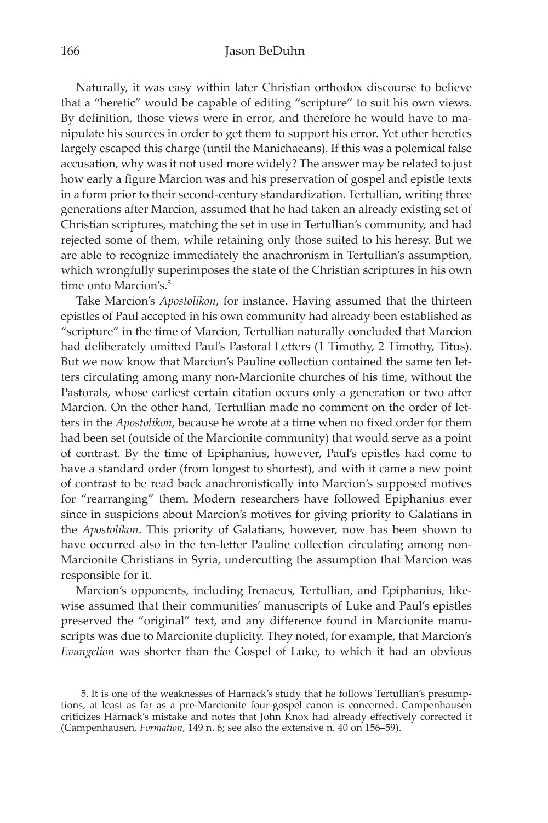Naturally, it was easy within later Christian orthodox discourse to believe that a "heretic" would be capable of editing "scripture" to suit his own views. By definition, those views were in error, and therefore he would have to manipulate his sources in order to get them to support his error. Yet other heretics largely escaped this charge (until the Manichaeans). If this was a polemical false accusation, why was it not used more widely? The answer may be related to just how early a figure Marcion was and his preservation of gospel and epistle texts in a form prior to their second-century standardization. Tertullian, writing three generations after Marcion, assumed that he had taken an already existing set of Christian scriptures, matching the set in use in Tertullian's community, and had rejected some of them, while retaining only those suited to his heresy. But we are able to recognize immediately the anachronism in Tertullian's assumption, which wrongfully superimposes the state of the Christian scriptures in his own time onto Marcion's.<sup>5</sup>

Take Marcion's *Apostolikon*, for instance. Having assumed that the thirteen epistles of Paul accepted in his own community had already been established as "scripture" in the time of Marcion, Tertullian naturally concluded that Marcion had deliberately omitted Paul's Pastoral Letters (1 Timothy, 2 Timothy, Titus). But we now know that Marcion's Pauline collection contained the same ten letters circulating among many non-Marcionite churches of his time, without the Pastorals, whose earliest certain citation occurs only a generation or two after Marcion. On the other hand, Tertullian made no comment on the order of letters in the *Apostolikon*, because he wrote at a time when no fixed order for them had been set (outside of the Marcionite community) that would serve as a point of contrast. By the time of Epiphanius, however, Paul's epistles had come to have a standard order (from longest to shortest), and with it came a new point of contrast to be read back anachronistically into Marcion's supposed motives for "rearranging" them. Modern researchers have followed Epiphanius ever since in suspicions about Marcion's motives for giving priority to Galatians in the *Apostolikon*. This priority of Galatians, however, now has been shown to have occurred also in the ten-letter Pauline collection circulating among non-Marcionite Christians in Syria, undercutting the assumption that Marcion was responsible for it.

Marcion's opponents, including Irenaeus, Tertullian, and Epiphanius, likewise assumed that their communities' manuscripts of Luke and Paul's epistles preserved the "original" text, and any difference found in Marcionite manuscripts was due to Marcionite duplicity. They noted, for example, that Marcion's *Evangelion* was shorter than the Gospel of Luke, to which it had an obvious

<sup>5.</sup> It is one of the weaknesses of Harnack's study that he follows Tertullian's presumptions, at least as far as a pre-Marcionite four-gospel canon is concerned. Campenhausen criticizes Harnack's mistake and notes that John Knox had already effectively corrected it (Campenhausen, *Formation*, 149 n. 6; see also the extensive n. 40 on 156–59).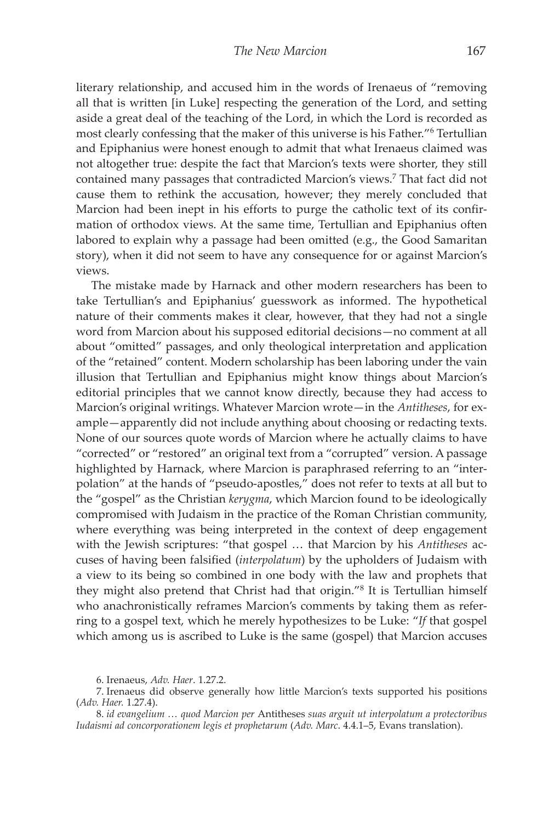literary relationship, and accused him in the words of Irenaeus of "removing all that is written [in Luke] respecting the generation of the Lord, and setting aside a great deal of the teaching of the Lord, in which the Lord is recorded as most clearly confessing that the maker of this universe is his Father."6 Tertullian and Epiphanius were honest enough to admit that what Irenaeus claimed was not altogether true: despite the fact that Marcion's texts were shorter, they still contained many passages that contradicted Marcion's views.7 That fact did not cause them to rethink the accusation, however; they merely concluded that Marcion had been inept in his efforts to purge the catholic text of its confirmation of orthodox views. At the same time, Tertullian and Epiphanius often labored to explain why a passage had been omitted (e.g., the Good Samaritan story), when it did not seem to have any consequence for or against Marcion's views.

The mistake made by Harnack and other modern researchers has been to take Tertullian's and Epiphanius' guesswork as informed. The hypothetical nature of their comments makes it clear, however, that they had not a single word from Marcion about his supposed editorial decisions—no comment at all about "omitted" passages, and only theological interpretation and application of the "retained" content. Modern scholarship has been laboring under the vain illusion that Tertullian and Epiphanius might know things about Marcion's editorial principles that we cannot know directly, because they had access to Marcion's original writings. Whatever Marcion wrote—in the *Antitheses*, for example—apparently did not include anything about choosing or redacting texts. None of our sources quote words of Marcion where he actually claims to have "corrected" or "restored" an original text from a "corrupted" version. A passage highlighted by Harnack, where Marcion is paraphrased referring to an "interpolation" at the hands of "pseudo-apostles," does not refer to texts at all but to the "gospel" as the Christian *kerygma*, which Marcion found to be ideologically compromised with Judaism in the practice of the Roman Christian community, where everything was being interpreted in the context of deep engagement with the Jewish scriptures: "that gospel … that Marcion by his *Antitheses* accuses of having been falsified (*interpolatum*) by the upholders of Judaism with a view to its being so combined in one body with the law and prophets that they might also pretend that Christ had that origin."8 It is Tertullian himself who anachronistically reframes Marcion's comments by taking them as referring to a gospel text, which he merely hypothesizes to be Luke: "*If* that gospel which among us is ascribed to Luke is the same (gospel) that Marcion accuses

<sup>6.</sup> Irenaeus, *Adv. Haer*. 1.27.2.

<sup>7.</sup> Irenaeus did observe generally how little Marcion's texts supported his positions (*Adv. Haer.* 1.27.4).

<sup>8.</sup> *id evangelium … quod Marcion per* Antitheses *suas arguit ut interpolatum a protectoribus Iudaismi ad concorporationem legis et prophetarum* (*Adv. Marc*. 4.4.1–5, Evans translation).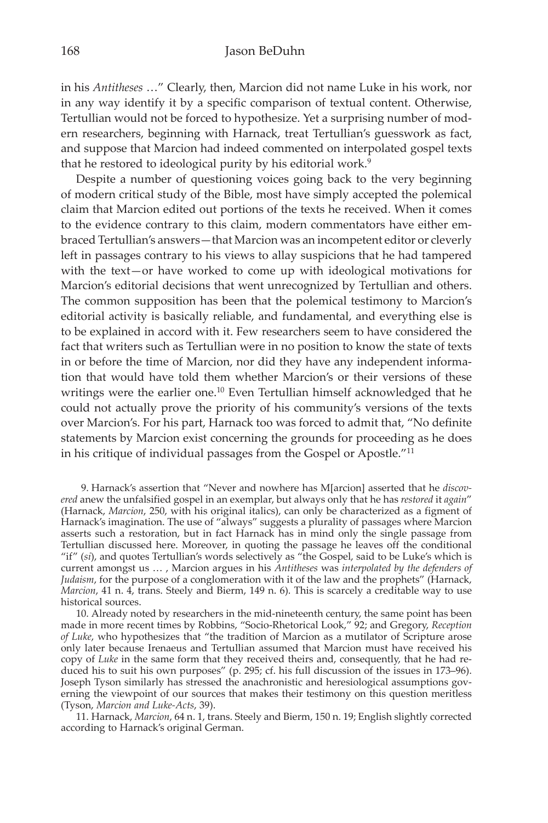in his *Antitheses* …" Clearly, then, Marcion did not name Luke in his work, nor in any way identify it by a specific comparison of textual content. Otherwise, Tertullian would not be forced to hypothesize. Yet a surprising number of modern researchers, beginning with Harnack, treat Tertullian's guesswork as fact, and suppose that Marcion had indeed commented on interpolated gospel texts that he restored to ideological purity by his editorial work.<sup>9</sup>

Despite a number of questioning voices going back to the very beginning of modern critical study of the Bible, most have simply accepted the polemical claim that Marcion edited out portions of the texts he received. When it comes to the evidence contrary to this claim, modern commentators have either embraced Tertullian's answers—that Marcion was an incompetent editor or cleverly left in passages contrary to his views to allay suspicions that he had tampered with the text—or have worked to come up with ideological motivations for Marcion's editorial decisions that went unrecognized by Tertullian and others. The common supposition has been that the polemical testimony to Marcion's editorial activity is basically reliable, and fundamental, and everything else is to be explained in accord with it. Few researchers seem to have considered the fact that writers such as Tertullian were in no position to know the state of texts in or before the time of Marcion, nor did they have any independent information that would have told them whether Marcion's or their versions of these writings were the earlier one.<sup>10</sup> Even Tertullian himself acknowledged that he could not actually prove the priority of his community's versions of the texts over Marcion's. For his part, Harnack too was forced to admit that, "No definite statements by Marcion exist concerning the grounds for proceeding as he does in his critique of individual passages from the Gospel or Apostle."11

9. Harnack's assertion that "Never and nowhere has M[arcion] asserted that he *discovered* anew the unfalsified gospel in an exemplar, but always only that he has *restored* it *again*" (Harnack, *Marcion*, 250, with his original italics), can only be characterized as a figment of Harnack's imagination. The use of "always" suggests a plurality of passages where Marcion asserts such a restoration, but in fact Harnack has in mind only the single passage from Tertullian discussed here. Moreover, in quoting the passage he leaves off the conditional "if" (*si*), and quotes Tertullian's words selectively as "the Gospel, said to be Luke's which is current amongst us … , Marcion argues in his *Antitheses* was *interpolated by the defenders of Judaism*, for the purpose of a conglomeration with it of the law and the prophets" (Harnack, *Marcion*, 41 n. 4, trans. Steely and Bierm, 149 n. 6). This is scarcely a creditable way to use historical sources.

10. Already noted by researchers in the mid-nineteenth century, the same point has been made in more recent times by Robbins, "Socio-Rhetorical Look," 92; and Gregory, *Reception of Luke*, who hypothesizes that "the tradition of Marcion as a mutilator of Scripture arose only later because Irenaeus and Tertullian assumed that Marcion must have received his copy of *Luke* in the same form that they received theirs and, consequently, that he had reduced his to suit his own purposes" (p. 295; cf. his full discussion of the issues in 173–96). Joseph Tyson similarly has stressed the anachronistic and heresiological assumptions governing the viewpoint of our sources that makes their testimony on this question meritless (Tyson, *Marcion and Luke-Acts*, 39).

11. Harnack, *Marcion*, 64 n. 1, trans. Steely and Bierm, 150 n. 19; English slightly corrected according to Harnack's original German.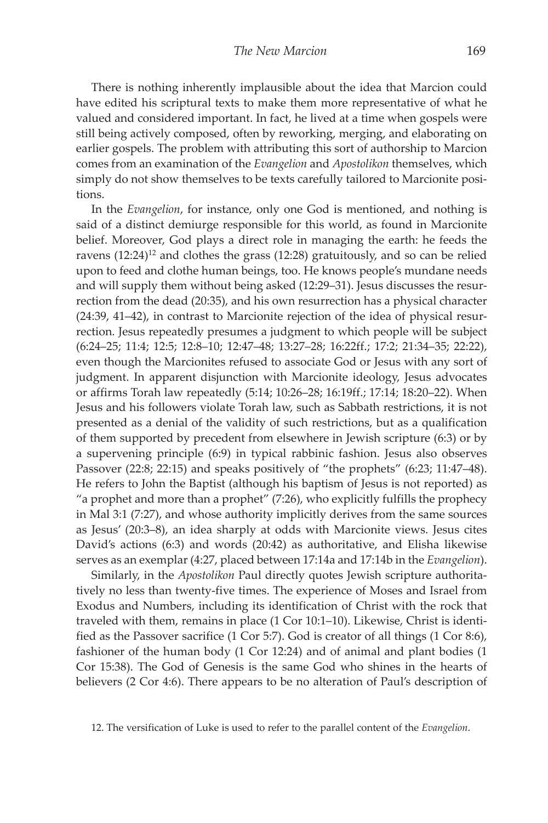There is nothing inherently implausible about the idea that Marcion could have edited his scriptural texts to make them more representative of what he valued and considered important. In fact, he lived at a time when gospels were still being actively composed, often by reworking, merging, and elaborating on earlier gospels. The problem with attributing this sort of authorship to Marcion comes from an examination of the *Evangelion* and *Apostolikon* themselves, which simply do not show themselves to be texts carefully tailored to Marcionite positions.

In the *Evangelion*, for instance, only one God is mentioned, and nothing is said of a distinct demiurge responsible for this world, as found in Marcionite belief. Moreover, God plays a direct role in managing the earth: he feeds the ravens  $(12:24)^{12}$  and clothes the grass  $(12:28)$  gratuitously, and so can be relied upon to feed and clothe human beings, too. He knows people's mundane needs and will supply them without being asked (12:29–31). Jesus discusses the resurrection from the dead (20:35), and his own resurrection has a physical character (24:39, 41–42), in contrast to Marcionite rejection of the idea of physical resurrection. Jesus repeatedly presumes a judgment to which people will be subject (6:24–25; 11:4; 12:5; 12:8–10; 12:47–48; 13:27–28; 16:22ff.; 17:2; 21:34–35; 22:22), even though the Marcionites refused to associate God or Jesus with any sort of judgment. In apparent disjunction with Marcionite ideology, Jesus advocates or affirms Torah law repeatedly (5:14; 10:26–28; 16:19ff.; 17:14; 18:20–22). When Jesus and his followers violate Torah law, such as Sabbath restrictions, it is not presented as a denial of the validity of such restrictions, but as a qualification of them supported by precedent from elsewhere in Jewish scripture (6:3) or by a supervening principle (6:9) in typical rabbinic fashion. Jesus also observes Passover (22:8; 22:15) and speaks positively of "the prophets" (6:23; 11:47–48). He refers to John the Baptist (although his baptism of Jesus is not reported) as "a prophet and more than a prophet" (7:26), who explicitly fulfills the prophecy in Mal 3:1 (7:27), and whose authority implicitly derives from the same sources as Jesus' (20:3–8), an idea sharply at odds with Marcionite views. Jesus cites David's actions (6:3) and words (20:42) as authoritative, and Elisha likewise serves as an exemplar (4:27, placed between 17:14a and 17:14b in the *Evangelion*).

Similarly, in the *Apostolikon* Paul directly quotes Jewish scripture authoritatively no less than twenty-five times. The experience of Moses and Israel from Exodus and Numbers, including its identification of Christ with the rock that traveled with them, remains in place (1 Cor 10:1–10). Likewise, Christ is identified as the Passover sacrifice (1 Cor 5:7). God is creator of all things (1 Cor 8:6), fashioner of the human body (1 Cor 12:24) and of animal and plant bodies (1 Cor 15:38). The God of Genesis is the same God who shines in the hearts of believers (2 Cor 4:6). There appears to be no alteration of Paul's description of

<sup>12.</sup> The versification of Luke is used to refer to the parallel content of the *Evangelion*.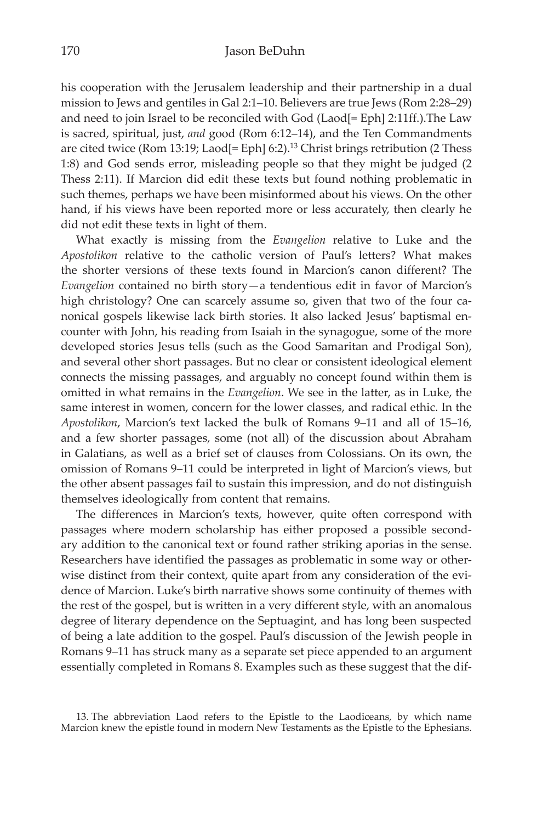his cooperation with the Jerusalem leadership and their partnership in a dual mission to Jews and gentiles in Gal 2:1–10. Believers are true Jews (Rom 2:28–29) and need to join Israel to be reconciled with God (Laod[= Eph] 2:11ff.).The Law is sacred, spiritual, just, *and* good (Rom 6:12–14), and the Ten Commandments are cited twice (Rom 13:19; Laod[= Eph] 6:2).<sup>13</sup> Christ brings retribution (2 Thess 1:8) and God sends error, misleading people so that they might be judged (2 Thess 2:11). If Marcion did edit these texts but found nothing problematic in such themes, perhaps we have been misinformed about his views. On the other hand, if his views have been reported more or less accurately, then clearly he did not edit these texts in light of them.

What exactly is missing from the *Evangelion* relative to Luke and the *Apostolikon* relative to the catholic version of Paul's letters? What makes the shorter versions of these texts found in Marcion's canon different? The *Evangelion* contained no birth story—a tendentious edit in favor of Marcion's high christology? One can scarcely assume so, given that two of the four canonical gospels likewise lack birth stories. It also lacked Jesus' baptismal encounter with John, his reading from Isaiah in the synagogue, some of the more developed stories Jesus tells (such as the Good Samaritan and Prodigal Son), and several other short passages. But no clear or consistent ideological element connects the missing passages, and arguably no concept found within them is omitted in what remains in the *Evangelion*. We see in the latter, as in Luke, the same interest in women, concern for the lower classes, and radical ethic. In the *Apostolikon*, Marcion's text lacked the bulk of Romans 9–11 and all of 15–16, and a few shorter passages, some (not all) of the discussion about Abraham in Galatians, as well as a brief set of clauses from Colossians. On its own, the omission of Romans 9–11 could be interpreted in light of Marcion's views, but the other absent passages fail to sustain this impression, and do not distinguish themselves ideologically from content that remains.

The differences in Marcion's texts, however, quite often correspond with passages where modern scholarship has either proposed a possible secondary addition to the canonical text or found rather striking aporias in the sense. Researchers have identified the passages as problematic in some way or otherwise distinct from their context, quite apart from any consideration of the evidence of Marcion. Luke's birth narrative shows some continuity of themes with the rest of the gospel, but is written in a very different style, with an anomalous degree of literary dependence on the Septuagint, and has long been suspected of being a late addition to the gospel. Paul's discussion of the Jewish people in Romans 9–11 has struck many as a separate set piece appended to an argument essentially completed in Romans 8. Examples such as these suggest that the dif-

<sup>13.</sup> The abbreviation Laod refers to the Epistle to the Laodiceans, by which name Marcion knew the epistle found in modern New Testaments as the Epistle to the Ephesians.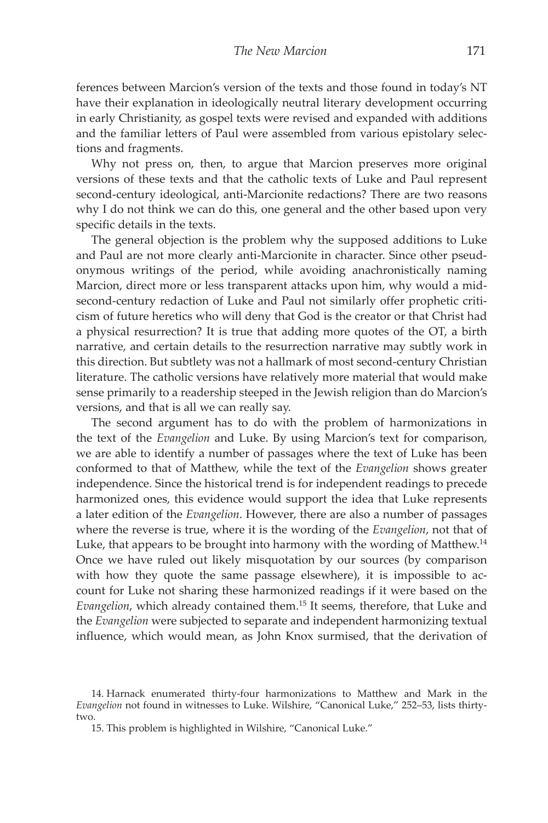ferences between Marcion's version of the texts and those found in today's NT have their explanation in ideologically neutral literary development occurring in early Christianity, as gospel texts were revised and expanded with additions and the familiar letters of Paul were assembled from various epistolary selections and fragments.

Why not press on, then, to argue that Marcion preserves more original versions of these texts and that the catholic texts of Luke and Paul represent second-century ideological, anti-Marcionite redactions? There are two reasons why I do not think we can do this, one general and the other based upon very specific details in the texts.

The general objection is the problem why the supposed additions to Luke and Paul are not more clearly anti-Marcionite in character. Since other pseudonymous writings of the period, while avoiding anachronistically naming Marcion, direct more or less transparent attacks upon him, why would a midsecond-century redaction of Luke and Paul not similarly offer prophetic criticism of future heretics who will deny that God is the creator or that Christ had a physical resurrection? It is true that adding more quotes of the OT, a birth narrative, and certain details to the resurrection narrative may subtly work in this direction. But subtlety was not a hallmark of most second-century Christian literature. The catholic versions have relatively more material that would make sense primarily to a readership steeped in the Jewish religion than do Marcion's versions, and that is all we can really say.

The second argument has to do with the problem of harmonizations in the text of the *Evangelion* and Luke. By using Marcion's text for comparison, we are able to identify a number of passages where the text of Luke has been conformed to that of Matthew, while the text of the *Evangelion* shows greater independence. Since the historical trend is for independent readings to precede harmonized ones, this evidence would support the idea that Luke represents a later edition of the *Evangelion*. However, there are also a number of passages where the reverse is true, where it is the wording of the *Evangelion*, not that of Luke, that appears to be brought into harmony with the wording of Matthew.<sup>14</sup> Once we have ruled out likely misquotation by our sources (by comparison with how they quote the same passage elsewhere), it is impossible to account for Luke not sharing these harmonized readings if it were based on the *Evangelion*, which already contained them.15 It seems, therefore, that Luke and the *Evangelion* were subjected to separate and independent harmonizing textual influence, which would mean, as John Knox surmised, that the derivation of

<sup>14.</sup> Harnack enumerated thirty-four harmonizations to Matthew and Mark in the *Evangelion* not found in witnesses to Luke. Wilshire, "Canonical Luke," 252–53, lists thirtytwo.

<sup>15.</sup> This problem is highlighted in Wilshire, "Canonical Luke."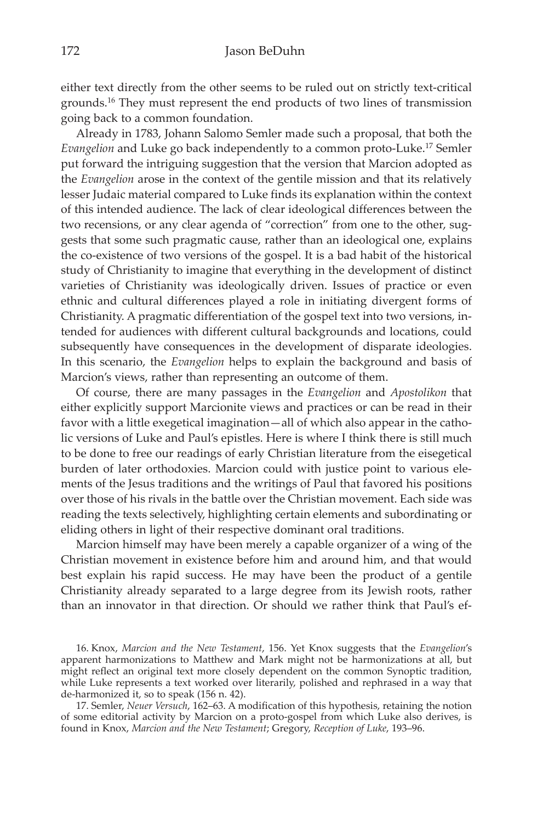either text directly from the other seems to be ruled out on strictly text-critical grounds.16 They must represent the end products of two lines of transmission going back to a common foundation.

Already in 1783, Johann Salomo Semler made such a proposal, that both the *Evangelion* and Luke go back independently to a common proto-Luke.17 Semler put forward the intriguing suggestion that the version that Marcion adopted as the *Evangelion* arose in the context of the gentile mission and that its relatively lesser Judaic material compared to Luke finds its explanation within the context of this intended audience. The lack of clear ideological differences between the two recensions, or any clear agenda of "correction" from one to the other, suggests that some such pragmatic cause, rather than an ideological one, explains the co-existence of two versions of the gospel. It is a bad habit of the historical study of Christianity to imagine that everything in the development of distinct varieties of Christianity was ideologically driven. Issues of practice or even ethnic and cultural differences played a role in initiating divergent forms of Christianity. A pragmatic differentiation of the gospel text into two versions, intended for audiences with different cultural backgrounds and locations, could subsequently have consequences in the development of disparate ideologies. In this scenario, the *Evangelion* helps to explain the background and basis of Marcion's views, rather than representing an outcome of them.

Of course, there are many passages in the *Evangelion* and *Apostolikon* that either explicitly support Marcionite views and practices or can be read in their favor with a little exegetical imagination—all of which also appear in the catholic versions of Luke and Paul's epistles. Here is where I think there is still much to be done to free our readings of early Christian literature from the eisegetical burden of later orthodoxies. Marcion could with justice point to various elements of the Jesus traditions and the writings of Paul that favored his positions over those of his rivals in the battle over the Christian movement. Each side was reading the texts selectively, highlighting certain elements and subordinating or eliding others in light of their respective dominant oral traditions.

Marcion himself may have been merely a capable organizer of a wing of the Christian movement in existence before him and around him, and that would best explain his rapid success. He may have been the product of a gentile Christianity already separated to a large degree from its Jewish roots, rather than an innovator in that direction. Or should we rather think that Paul's ef-

16. Knox, *Marcion and the New Testament*, 156. Yet Knox suggests that the *Evangelion*'s apparent harmonizations to Matthew and Mark might not be harmonizations at all, but might reflect an original text more closely dependent on the common Synoptic tradition, while Luke represents a text worked over literarily, polished and rephrased in a way that de-harmonized it, so to speak (156 n. 42).

17. Semler, *Neuer Versuch*, 162–63. A modification of this hypothesis, retaining the notion of some editorial activity by Marcion on a proto-gospel from which Luke also derives, is found in Knox, *Marcion and the New Testament*; Gregory, *Reception of Luke*, 193–96.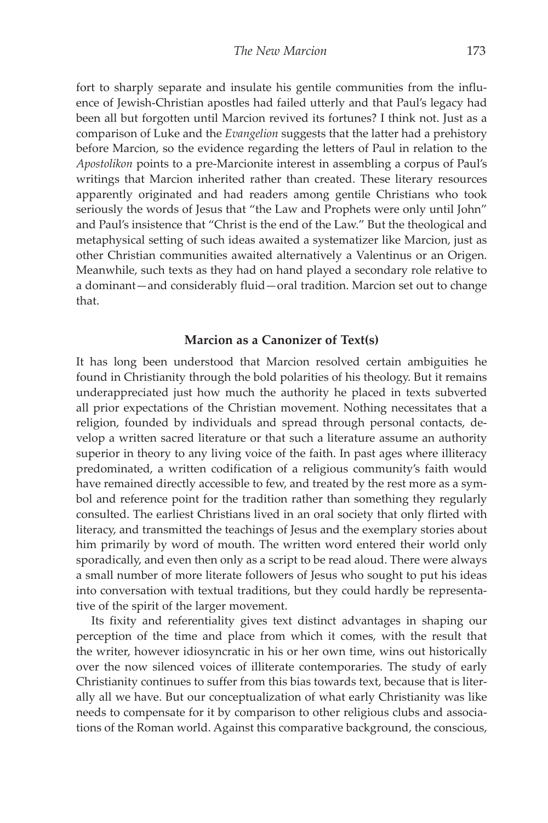fort to sharply separate and insulate his gentile communities from the influence of Jewish-Christian apostles had failed utterly and that Paul's legacy had been all but forgotten until Marcion revived its fortunes? I think not. Just as a comparison of Luke and the *Evangelion* suggests that the latter had a prehistory before Marcion, so the evidence regarding the letters of Paul in relation to the *Apostolikon* points to a pre-Marcionite interest in assembling a corpus of Paul's writings that Marcion inherited rather than created. These literary resources apparently originated and had readers among gentile Christians who took seriously the words of Jesus that "the Law and Prophets were only until John" and Paul's insistence that "Christ is the end of the Law." But the theological and metaphysical setting of such ideas awaited a systematizer like Marcion, just as other Christian communities awaited alternatively a Valentinus or an Origen. Meanwhile, such texts as they had on hand played a secondary role relative to a dominant—and considerably fluid—oral tradition. Marcion set out to change that.

### **Marcion as a Canonizer of Text(s)**

It has long been understood that Marcion resolved certain ambiguities he found in Christianity through the bold polarities of his theology. But it remains underappreciated just how much the authority he placed in texts subverted all prior expectations of the Christian movement. Nothing necessitates that a religion, founded by individuals and spread through personal contacts, develop a written sacred literature or that such a literature assume an authority superior in theory to any living voice of the faith. In past ages where illiteracy predominated, a written codification of a religious community's faith would have remained directly accessible to few, and treated by the rest more as a symbol and reference point for the tradition rather than something they regularly consulted. The earliest Christians lived in an oral society that only flirted with literacy, and transmitted the teachings of Jesus and the exemplary stories about him primarily by word of mouth. The written word entered their world only sporadically, and even then only as a script to be read aloud. There were always a small number of more literate followers of Jesus who sought to put his ideas into conversation with textual traditions, but they could hardly be representative of the spirit of the larger movement.

Its fixity and referentiality gives text distinct advantages in shaping our perception of the time and place from which it comes, with the result that the writer, however idiosyncratic in his or her own time, wins out historically over the now silenced voices of illiterate contemporaries. The study of early Christianity continues to suffer from this bias towards text, because that is literally all we have. But our conceptualization of what early Christianity was like needs to compensate for it by comparison to other religious clubs and associations of the Roman world. Against this comparative background, the conscious,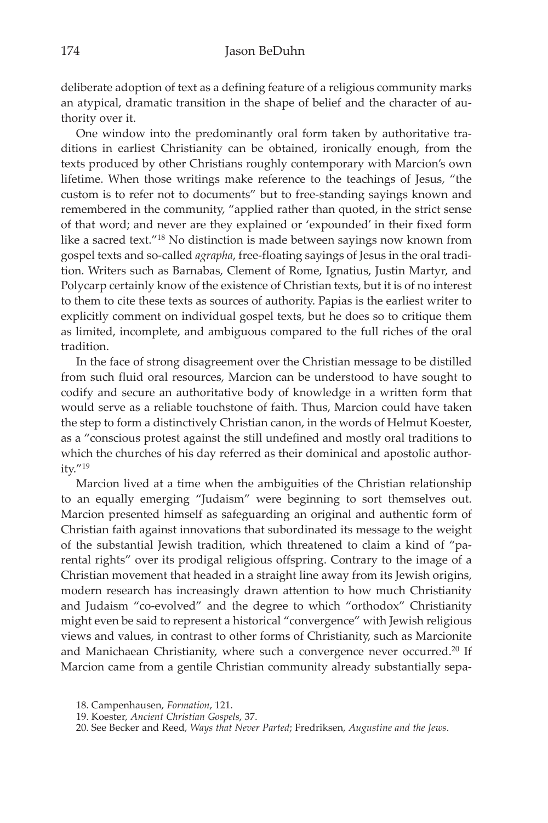deliberate adoption of text as a defining feature of a religious community marks an atypical, dramatic transition in the shape of belief and the character of authority over it.

One window into the predominantly oral form taken by authoritative traditions in earliest Christianity can be obtained, ironically enough, from the texts produced by other Christians roughly contemporary with Marcion's own lifetime. When those writings make reference to the teachings of Jesus, "the custom is to refer not to documents" but to free-standing sayings known and remembered in the community, "applied rather than quoted, in the strict sense of that word; and never are they explained or 'expounded' in their fixed form like a sacred text."18 No distinction is made between sayings now known from gospel texts and so-called *agrapha*, free-floating sayings of Jesus in the oral tradition. Writers such as Barnabas, Clement of Rome, Ignatius, Justin Martyr, and Polycarp certainly know of the existence of Christian texts, but it is of no interest to them to cite these texts as sources of authority. Papias is the earliest writer to explicitly comment on individual gospel texts, but he does so to critique them as limited, incomplete, and ambiguous compared to the full riches of the oral tradition.

In the face of strong disagreement over the Christian message to be distilled from such fluid oral resources, Marcion can be understood to have sought to codify and secure an authoritative body of knowledge in a written form that would serve as a reliable touchstone of faith. Thus, Marcion could have taken the step to form a distinctively Christian canon, in the words of Helmut Koester, as a "conscious protest against the still undefined and mostly oral traditions to which the churches of his day referred as their dominical and apostolic authority."19

Marcion lived at a time when the ambiguities of the Christian relationship to an equally emerging "Judaism" were beginning to sort themselves out. Marcion presented himself as safeguarding an original and authentic form of Christian faith against innovations that subordinated its message to the weight of the substantial Jewish tradition, which threatened to claim a kind of "parental rights" over its prodigal religious offspring. Contrary to the image of a Christian movement that headed in a straight line away from its Jewish origins, modern research has increasingly drawn attention to how much Christianity and Judaism "co-evolved" and the degree to which "orthodox" Christianity might even be said to represent a historical "convergence" with Jewish religious views and values, in contrast to other forms of Christianity, such as Marcionite and Manichaean Christianity, where such a convergence never occurred.<sup>20</sup> If Marcion came from a gentile Christian community already substantially sepa-

19. Koester, *Ancient Christian Gospels*, 37.

<sup>18.</sup> Campenhausen, *Formation*, 121.

<sup>20.</sup> See Becker and Reed, *Ways that Never Parted*; Fredriksen, *Augustine and the Jews*.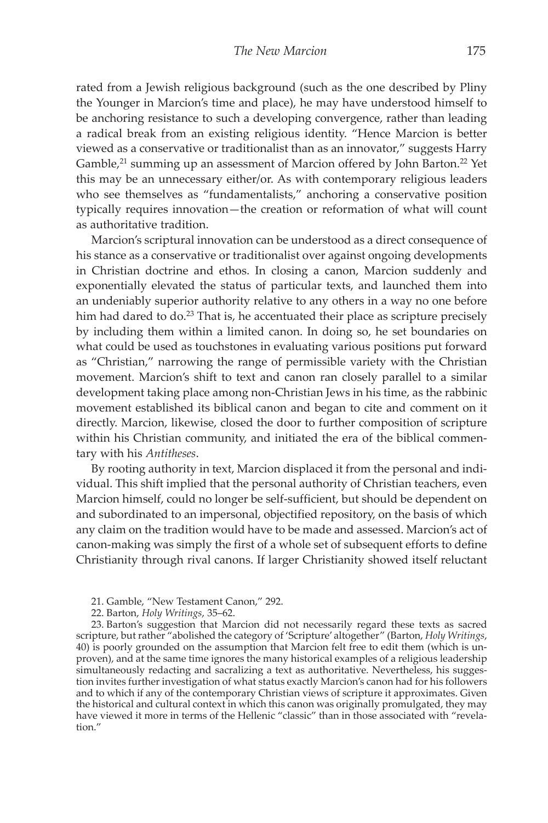rated from a Jewish religious background (such as the one described by Pliny the Younger in Marcion's time and place), he may have understood himself to be anchoring resistance to such a developing convergence, rather than leading a radical break from an existing religious identity. "Hence Marcion is better viewed as a conservative or traditionalist than as an innovator," suggests Harry Gamble,<sup>21</sup> summing up an assessment of Marcion offered by John Barton.<sup>22</sup> Yet this may be an unnecessary either/or. As with contemporary religious leaders who see themselves as "fundamentalists," anchoring a conservative position typically requires innovation—the creation or reformation of what will count as authoritative tradition.

Marcion's scriptural innovation can be understood as a direct consequence of his stance as a conservative or traditionalist over against ongoing developments in Christian doctrine and ethos. In closing a canon, Marcion suddenly and exponentially elevated the status of particular texts, and launched them into an undeniably superior authority relative to any others in a way no one before him had dared to do.<sup>23</sup> That is, he accentuated their place as scripture precisely by including them within a limited canon. In doing so, he set boundaries on what could be used as touchstones in evaluating various positions put forward as "Christian," narrowing the range of permissible variety with the Christian movement. Marcion's shift to text and canon ran closely parallel to a similar development taking place among non-Christian Jews in his time, as the rabbinic movement established its biblical canon and began to cite and comment on it directly. Marcion, likewise, closed the door to further composition of scripture within his Christian community, and initiated the era of the biblical commentary with his *Antitheses*.

By rooting authority in text, Marcion displaced it from the personal and individual. This shift implied that the personal authority of Christian teachers, even Marcion himself, could no longer be self-sufficient, but should be dependent on and subordinated to an impersonal, objectified repository, on the basis of which any claim on the tradition would have to be made and assessed. Marcion's act of canon-making was simply the first of a whole set of subsequent efforts to define Christianity through rival canons. If larger Christianity showed itself reluctant

23. Barton's suggestion that Marcion did not necessarily regard these texts as sacred scripture, but rather "abolished the category of 'Scripture' altogether" (Barton, *Holy Writings*, 40) is poorly grounded on the assumption that Marcion felt free to edit them (which is unproven), and at the same time ignores the many historical examples of a religious leadership simultaneously redacting and sacralizing a text as authoritative. Nevertheless, his suggestion invites further investigation of what status exactly Marcion's canon had for his followers and to which if any of the contemporary Christian views of scripture it approximates. Given the historical and cultural context in which this canon was originally promulgated, they may have viewed it more in terms of the Hellenic "classic" than in those associated with "revelation."

<sup>21.</sup> Gamble, "New Testament Canon," 292.

<sup>22.</sup> Barton, *Holy Writings*, 35–62.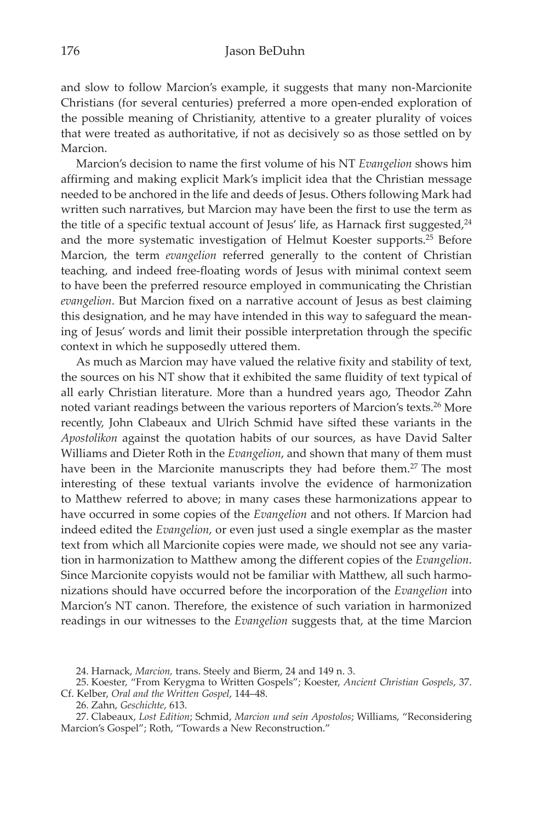and slow to follow Marcion's example, it suggests that many non-Marcionite Christians (for several centuries) preferred a more open-ended exploration of the possible meaning of Christianity, attentive to a greater plurality of voices that were treated as authoritative, if not as decisively so as those settled on by Marcion.

Marcion's decision to name the first volume of his NT *Evangelion* shows him affirming and making explicit Mark's implicit idea that the Christian message needed to be anchored in the life and deeds of Jesus. Others following Mark had written such narratives, but Marcion may have been the first to use the term as the title of a specific textual account of Jesus' life, as Harnack first suggested, $24$ and the more systematic investigation of Helmut Koester supports.25 Before Marcion, the term *evangelion* referred generally to the content of Christian teaching, and indeed free-floating words of Jesus with minimal context seem to have been the preferred resource employed in communicating the Christian *evangelion*. But Marcion fixed on a narrative account of Jesus as best claiming this designation, and he may have intended in this way to safeguard the meaning of Jesus' words and limit their possible interpretation through the specific context in which he supposedly uttered them.

As much as Marcion may have valued the relative fixity and stability of text, the sources on his NT show that it exhibited the same fluidity of text typical of all early Christian literature. More than a hundred years ago, Theodor Zahn noted variant readings between the various reporters of Marcion's texts.26 More recently, John Clabeaux and Ulrich Schmid have sifted these variants in the *Apostolikon* against the quotation habits of our sources, as have David Salter Williams and Dieter Roth in the *Evangelion*, and shown that many of them must have been in the Marcionite manuscripts they had before them.<sup>27</sup> The most interesting of these textual variants involve the evidence of harmonization to Matthew referred to above; in many cases these harmonizations appear to have occurred in some copies of the *Evangelion* and not others. If Marcion had indeed edited the *Evangelion*, or even just used a single exemplar as the master text from which all Marcionite copies were made, we should not see any variation in harmonization to Matthew among the different copies of the *Evangelion*. Since Marcionite copyists would not be familiar with Matthew, all such harmonizations should have occurred before the incorporation of the *Evangelion* into Marcion's NT canon. Therefore, the existence of such variation in harmonized readings in our witnesses to the *Evangelion* suggests that, at the time Marcion

<sup>24.</sup> Harnack, *Marcion,* trans. Steely and Bierm, 24 and 149 n. 3.

<sup>25.</sup> Koester, "From Kerygma to Written Gospels"; Koester, *Ancient Christian Gospels*, 37. Cf. Kelber, *Oral and the Written Gospel*, 144–48.

<sup>26.</sup> Zahn, *Geschichte*, 613.

<sup>27.</sup> Clabeaux, *Lost Edition*; Schmid, *Marcion und sein Apostolos*; Williams, "Reconsidering Marcion's Gospel"; Roth, "Towards a New Reconstruction."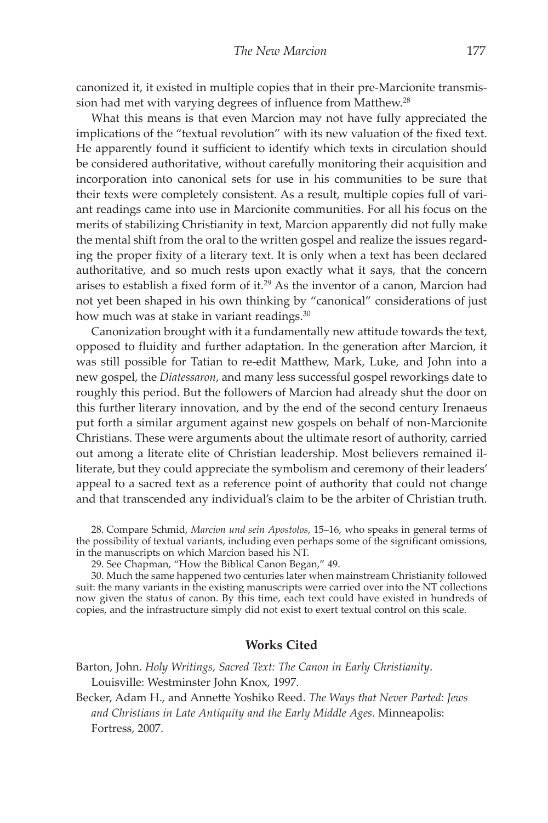canonized it, it existed in multiple copies that in their pre-Marcionite transmission had met with varying degrees of influence from Matthew.<sup>28</sup>

What this means is that even Marcion may not have fully appreciated the implications of the "textual revolution" with its new valuation of the fixed text. He apparently found it sufficient to identify which texts in circulation should be considered authoritative, without carefully monitoring their acquisition and incorporation into canonical sets for use in his communities to be sure that their texts were completely consistent. As a result, multiple copies full of variant readings came into use in Marcionite communities. For all his focus on the merits of stabilizing Christianity in text, Marcion apparently did not fully make the mental shift from the oral to the written gospel and realize the issues regarding the proper fixity of a literary text. It is only when a text has been declared authoritative, and so much rests upon exactly what it says, that the concern arises to establish a fixed form of it.29 As the inventor of a canon, Marcion had not yet been shaped in his own thinking by "canonical" considerations of just how much was at stake in variant readings.<sup>30</sup>

Canonization brought with it a fundamentally new attitude towards the text, opposed to fluidity and further adaptation. In the generation after Marcion, it was still possible for Tatian to re-edit Matthew, Mark, Luke, and John into a new gospel, the *Diatessaron*, and many less successful gospel reworkings date to roughly this period. But the followers of Marcion had already shut the door on this further literary innovation, and by the end of the second century Irenaeus put forth a similar argument against new gospels on behalf of non-Marcionite Christians. These were arguments about the ultimate resort of authority, carried out among a literate elite of Christian leadership. Most believers remained illiterate, but they could appreciate the symbolism and ceremony of their leaders' appeal to a sacred text as a reference point of authority that could not change and that transcended any individual's claim to be the arbiter of Christian truth.

28. Compare Schmid, *Marcion und sein Apostolos*, 15–16, who speaks in general terms of the possibility of textual variants, including even perhaps some of the significant omissions, in the manuscripts on which Marcion based his NT.

30. Much the same happened two centuries later when mainstream Christianity followed suit: the many variants in the existing manuscripts were carried over into the NT collections now given the status of canon. By this time, each text could have existed in hundreds of copies, and the infrastructure simply did not exist to exert textual control on this scale.

## **Works Cited**

Barton, John. *Holy Writings, Sacred Text: The Canon in Early Christianity*. Louisville: Westminster John Knox, 1997.

Becker, Adam H., and Annette Yoshiko Reed. *The Ways that Never Parted: Jews and Christians in Late Antiquity and the Early Middle Ages*. Minneapolis: Fortress, 2007.

<sup>29.</sup> See Chapman, "How the Biblical Canon Began," 49.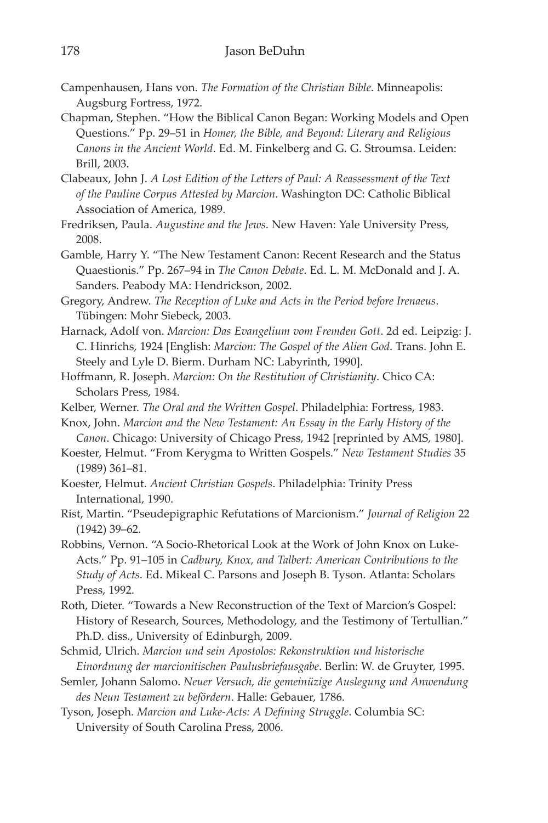- Campenhausen, Hans von. *The Formation of the Christian Bible*. Minneapolis: Augsburg Fortress, 1972.
- Chapman, Stephen. "How the Biblical Canon Began: Working Models and Open Questions." Pp. 29–51 in *Homer, the Bible, and Beyond: Literary and Religious Canons in the Ancient World*. Ed. M. Finkelberg and G. G. Stroumsa. Leiden: Brill, 2003.
- Clabeaux, John J. *A Lost Edition of the Letters of Paul: A Reassessment of the Text of the Pauline Corpus Attested by Marcion*. Washington DC: Catholic Biblical Association of America, 1989.
- Fredriksen, Paula. *Augustine and the Jews*. New Haven: Yale University Press, 2008.
- Gamble, Harry Y. "The New Testament Canon: Recent Research and the Status Quaestionis." Pp. 267–94 in *The Canon Debate*. Ed. L. M. McDonald and J. A. Sanders. Peabody MA: Hendrickson, 2002.
- Gregory, Andrew. *The Reception of Luke and Acts in the Period before Irenaeus*. Tübingen: Mohr Siebeck, 2003.
- Harnack, Adolf von. *Marcion: Das Evangelium vom Fremden Gott*. 2d ed. Leipzig: J. C. Hinrichs, 1924 [English: *Marcion: The Gospel of the Alien God*. Trans. John E. Steely and Lyle D. Bierm. Durham NC: Labyrinth, 1990].
- Hoffmann, R. Joseph. *Marcion: On the Restitution of Christianity*. Chico CA: Scholars Press, 1984.
- Kelber, Werner. *The Oral and the Written Gospel*. Philadelphia: Fortress, 1983.
- Knox, John. *Marcion and the New Testament: An Essay in the Early History of the Canon*. Chicago: University of Chicago Press, 1942 [reprinted by AMS, 1980].
- Koester, Helmut. "From Kerygma to Written Gospels." *New Testament Studies* 35 (1989) 361–81.
- Koester, Helmut. *Ancient Christian Gospels*. Philadelphia: Trinity Press International, 1990.
- Rist, Martin. "Pseudepigraphic Refutations of Marcionism." *Journal of Religion* 22 (1942) 39–62.
- Robbins, Vernon. "A Socio-Rhetorical Look at the Work of John Knox on Luke-Acts." Pp. 91–105 in *Cadbury, Knox, and Talbert: American Contributions to the Study of Acts*. Ed. Mikeal C. Parsons and Joseph B. Tyson. Atlanta: Scholars Press, 1992.
- Roth, Dieter. "Towards a New Reconstruction of the Text of Marcion's Gospel: History of Research, Sources, Methodology, and the Testimony of Tertullian." Ph.D. diss., University of Edinburgh, 2009.
- Schmid, Ulrich. *Marcion und sein Apostolos: Rekonstruktion und historische Einordnung der marcionitischen Paulusbriefausgabe*. Berlin: W. de Gruyter, 1995.
- Semler, Johann Salomo. *Neuer Versuch, die gemeinüzige Auslegung und Anwendung des Neun Testament zu befördern*. Halle: Gebauer, 1786.
- Tyson, Joseph. *Marcion and Luke-Acts: A Defining Struggle*. Columbia SC: University of South Carolina Press, 2006.